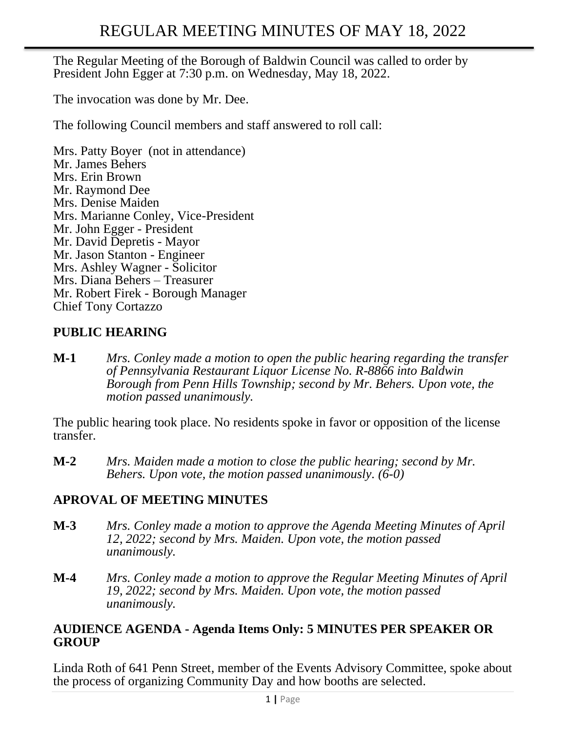The Regular Meeting of the Borough of Baldwin Council was called to order by President John Egger at 7:30 p.m. on Wednesday, May 18, 2022.

The invocation was done by Mr. Dee.

The following Council members and staff answered to roll call:

Mrs. Patty Boyer (not in attendance) Mr. James Behers Mrs. Erin Brown Mr. Raymond Dee Mrs. Denise Maiden Mrs. Marianne Conley, Vice-President Mr. John Egger - President Mr. David Depretis - Mayor Mr. Jason Stanton - Engineer Mrs. Ashley Wagner - Solicitor Mrs. Diana Behers – Treasurer Mr. Robert Firek - Borough Manager Chief Tony Cortazzo

### **PUBLIC HEARING**

**M-1** *Mrs. Conley made a motion to open the public hearing regarding the transfer of Pennsylvania Restaurant Liquor License No. R-8866 into Baldwin Borough from Penn Hills Township; second by Mr. Behers. Upon vote, the motion passed unanimously.* 

The public hearing took place. No residents spoke in favor or opposition of the license transfer.

**M-2** *Mrs. Maiden made a motion to close the public hearing; second by Mr. Behers. Upon vote, the motion passed unanimously. (6-0)*

# **APROVAL OF MEETING MINUTES**

- **M-3** *Mrs. Conley made a motion to approve the Agenda Meeting Minutes of April 12, 2022; second by Mrs. Maiden. Upon vote, the motion passed unanimously.*
- **M-4** *Mrs. Conley made a motion to approve the Regular Meeting Minutes of April 19, 2022; second by Mrs. Maiden. Upon vote, the motion passed unanimously.*

#### **AUDIENCE AGENDA - Agenda Items Only: 5 MINUTES PER SPEAKER OR GROUP**

Linda Roth of 641 Penn Street, member of the Events Advisory Committee, spoke about the process of organizing Community Day and how booths are selected.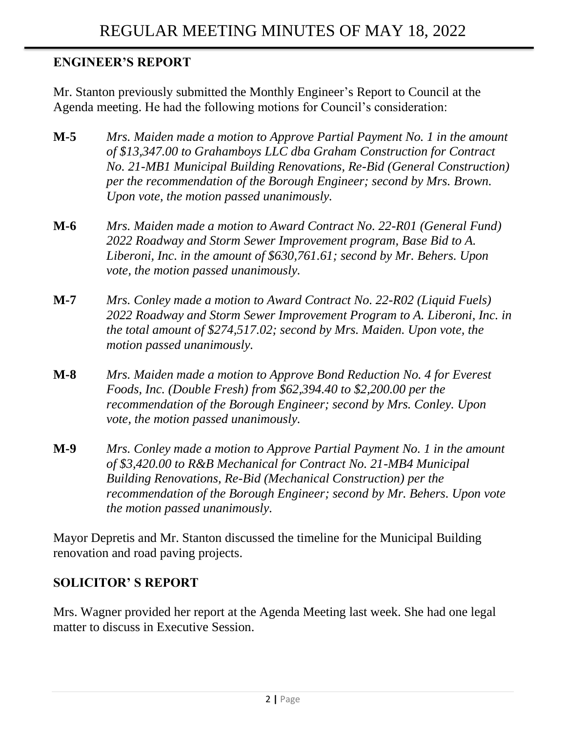# **ENGINEER'S REPORT**

Mr. Stanton previously submitted the Monthly Engineer's Report to Council at the Agenda meeting. He had the following motions for Council's consideration:

- **M-5** *Mrs. Maiden made a motion to Approve Partial Payment No. 1 in the amount of \$13,347.00 to Grahamboys LLC dba Graham Construction for Contract No. 21-MB1 Municipal Building Renovations, Re-Bid (General Construction) per the recommendation of the Borough Engineer; second by Mrs. Brown. Upon vote, the motion passed unanimously.*
- **M-6** *Mrs. Maiden made a motion to Award Contract No. 22-R01 (General Fund) 2022 Roadway and Storm Sewer Improvement program, Base Bid to A. Liberoni, Inc. in the amount of \$630,761.61; second by Mr. Behers. Upon vote, the motion passed unanimously.*
- **M-7** *Mrs. Conley made a motion to Award Contract No. 22-R02 (Liquid Fuels) 2022 Roadway and Storm Sewer Improvement Program to A. Liberoni, Inc. in the total amount of \$274,517.02; second by Mrs. Maiden. Upon vote, the motion passed unanimously.*
- **M-8** *Mrs. Maiden made a motion to Approve Bond Reduction No. 4 for Everest Foods, Inc. (Double Fresh) from \$62,394.40 to \$2,200.00 per the recommendation of the Borough Engineer; second by Mrs. Conley. Upon vote, the motion passed unanimously.*
- **M-9** *Mrs. Conley made a motion to Approve Partial Payment No. 1 in the amount of \$3,420.00 to R&B Mechanical for Contract No. 21-MB4 Municipal Building Renovations, Re-Bid (Mechanical Construction) per the recommendation of the Borough Engineer; second by Mr. Behers. Upon vote the motion passed unanimously.*

Mayor Depretis and Mr. Stanton discussed the timeline for the Municipal Building renovation and road paving projects.

### **SOLICITOR' S REPORT**

Mrs. Wagner provided her report at the Agenda Meeting last week. She had one legal matter to discuss in Executive Session.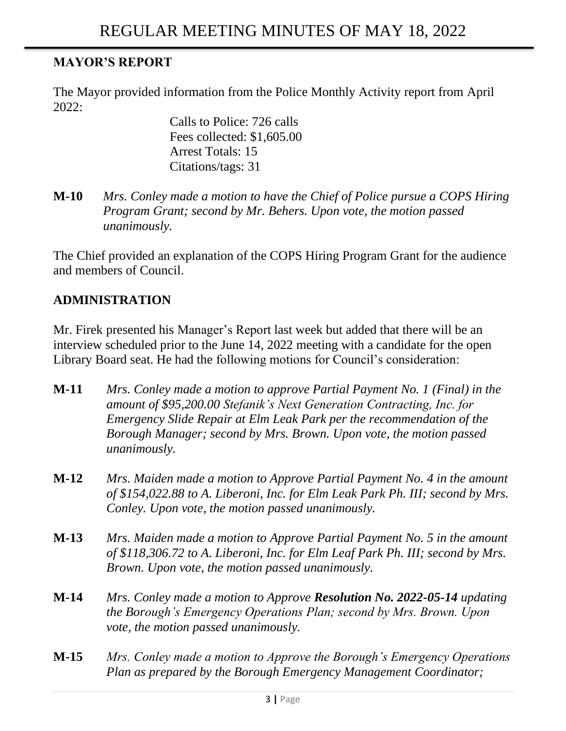# **MAYOR'S REPORT**

The Mayor provided information from the Police Monthly Activity report from April 2022:

> Calls to Police: 726 calls Fees collected: \$1,605.00 Arrest Totals: 15 Citations/tags: 31

**M-10** *Mrs. Conley made a motion to have the Chief of Police pursue a COPS Hiring Program Grant; second by Mr. Behers. Upon vote, the motion passed unanimously.*

The Chief provided an explanation of the COPS Hiring Program Grant for the audience and members of Council.

### **ADMINISTRATION**

Mr. Firek presented his [Manager's Report](https://drive.google.com/open?id=0BwpnQ0n2QiS-ckRqemF5S296R00) last week but added that there will be an interview scheduled prior to the June 14, 2022 meeting with a candidate for the open Library Board seat. He had the following motions for Council's consideration:

- **M-11** *Mrs. Conley made a motion to approve Partial Payment No. 1 (Final) in the amount of \$95,200.00 Stefanik's Next Generation Contracting, Inc. for Emergency Slide Repair at Elm Leak Park per the recommendation of the Borough Manager; second by Mrs. Brown. Upon vote, the motion passed unanimously.*
- **M-12** *Mrs. Maiden made a motion to Approve Partial Payment No. 4 in the amount of \$154,022.88 to A. Liberoni, Inc. for Elm Leak Park Ph. III; second by Mrs. Conley. Upon vote, the motion passed unanimously.*
- **M-13** *Mrs. Maiden made a motion to Approve Partial Payment No. 5 in the amount of \$118,306.72 to A. Liberoni, Inc. for Elm Leaf Park Ph. III; second by Mrs. Brown. Upon vote, the motion passed unanimously.*
- **M-14** *Mrs. Conley made a motion to Approve Resolution No. 2022-05-14 updating the Borough's Emergency Operations Plan; second by Mrs. Brown. Upon vote, the motion passed unanimously.*
- **M-15** *Mrs. Conley made a motion to Approve the Borough's Emergency Operations Plan as prepared by the Borough Emergency Management Coordinator;*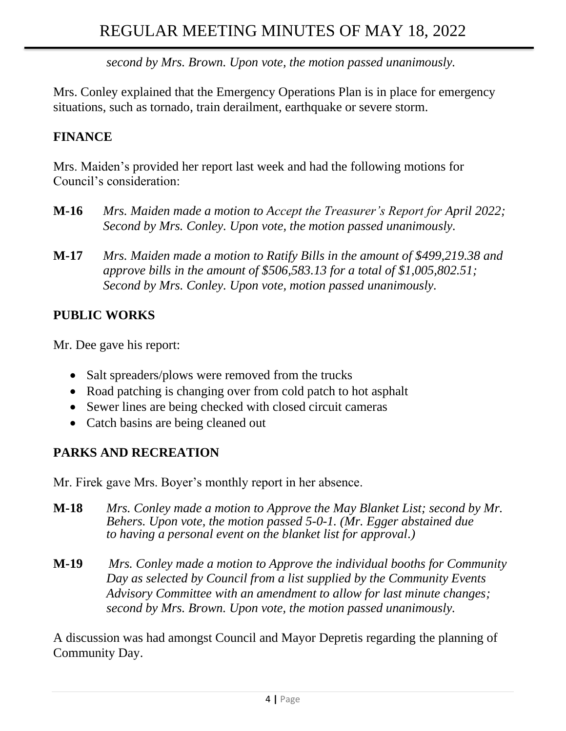*second by Mrs. Brown. Upon vote, the motion passed unanimously.*

Mrs. Conley explained that the Emergency Operations Plan is in place for emergency situations, such as tornado, train derailment, earthquake or severe storm.

# **FINANCE**

Mrs. Maiden's provided her report last week and had the following motions for Council's consideration:

- **M-16** *Mrs. Maiden made a motion to Accept the Treasurer's Report for April 2022; Second by Mrs. Conley. Upon vote, the motion passed unanimously.*
- **M-17** *Mrs. Maiden made a motion to [Ratify Bills in the amount of \\$499,219.38](https://drive.google.com/open?id=0B9Kkkw-rMfoadjkxSU1jVEZxRUE) and [approve bills in the amount of \\$506,583.13](https://drive.google.com/open?id=0B9Kkkw-rMfoadjkxSU1jVEZxRUE) for a total of \$1,005,802.51; Second by Mrs. Conley. Upon vote, motion passed unanimously.*

# **PUBLIC WORKS**

Mr. Dee gave his report:

- Salt spreaders/plows were removed from the trucks
- Road patching is changing over from cold patch to hot asphalt
- Sewer lines are being checked with closed circuit cameras
- Catch basins are being cleaned out

# **PARKS AND RECREATION**

Mr. Firek gave Mrs. Boyer's monthly report in her absence.

- **M-18** *Mrs. Conley made a motion to Approve the May Blanket List; second by Mr. Behers. Upon vote, the motion passed 5-0-1. (Mr. Egger abstained due to having a personal event on the blanket list for approval.)*
- **M-19** *Mrs. Conley made a motion to Approve the individual booths for Community Day as selected by Council from a list supplied by the Community Events Advisory Committee with an amendment to allow for last minute changes; second by Mrs. Brown. Upon vote, the motion passed unanimously.*

A discussion was had amongst Council and Mayor Depretis regarding the planning of Community Day.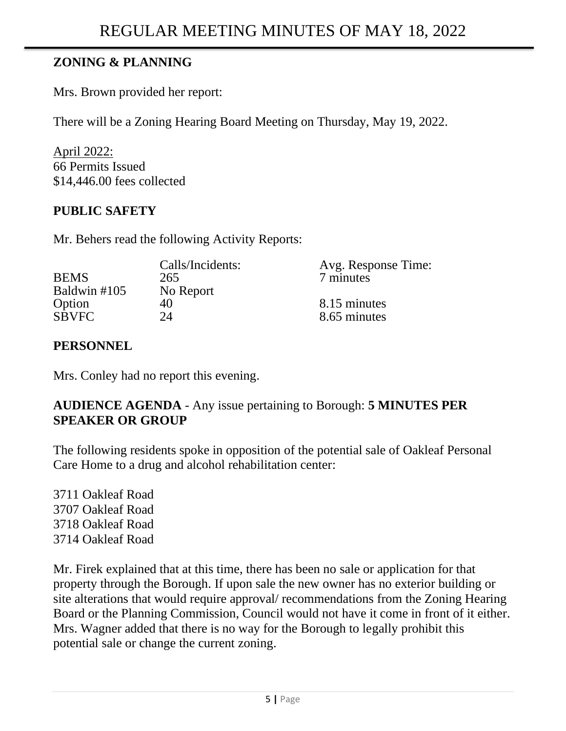# **ZONING & PLANNING**

Mrs. Brown provided her report:

There will be a Zoning Hearing Board Meeting on Thursday, May 19, 2022.

April 2022: 66 Permits Issued \$14,446.00 fees collected

### **PUBLIC SAFETY**

Mr. Behers read the following Activity Reports:

|              | Calls/Incidents: | Avg. Response Time: |
|--------------|------------------|---------------------|
| <b>BEMS</b>  | 265              | 7 minutes           |
| Baldwin #105 | No Report        |                     |
| Option       | 40               | 8.15 minutes        |
| <b>SBVFC</b> | 24               | 8.65 minutes        |

### **PERSONNEL**

Mrs. Conley had no report this evening.

### **AUDIENCE AGENDA** - Any issue pertaining to Borough: **5 MINUTES PER SPEAKER OR GROUP**

The following residents spoke in opposition of the potential sale of Oakleaf Personal Care Home to a drug and alcohol rehabilitation center:

3711 Oakleaf Road 3707 Oakleaf Road 3718 Oakleaf Road 3714 Oakleaf Road

Mr. Firek explained that at this time, there has been no sale or application for that property through the Borough. If upon sale the new owner has no exterior building or site alterations that would require approval/ recommendations from the Zoning Hearing Board or the Planning Commission, Council would not have it come in front of it either. Mrs. Wagner added that there is no way for the Borough to legally prohibit this potential sale or change the current zoning.